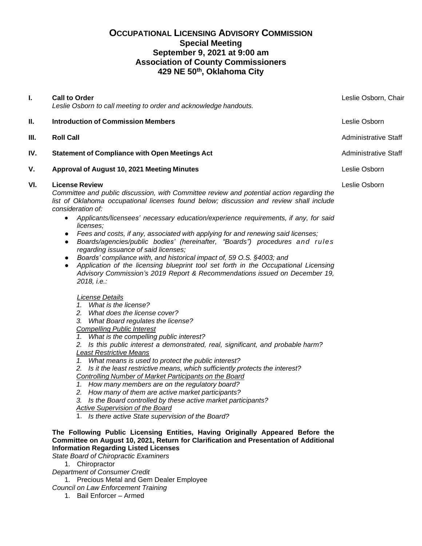# **OCCUPATIONAL LICENSING ADVISORY COMMISSION Special Meeting September 9, 2021 at 9:00 am Association of County Commissioners 429 NE 50th, Oklahoma City**

| L.   | <b>Call to Order</b><br>Leslie Osborn to call meeting to order and acknowledge handouts.                                                                                                                                                                                                                                                                                                                                                                                                                                                                                                                                                                                                                                                                                                                                                                                        | Leslie Osborn, Chair        |
|------|---------------------------------------------------------------------------------------------------------------------------------------------------------------------------------------------------------------------------------------------------------------------------------------------------------------------------------------------------------------------------------------------------------------------------------------------------------------------------------------------------------------------------------------------------------------------------------------------------------------------------------------------------------------------------------------------------------------------------------------------------------------------------------------------------------------------------------------------------------------------------------|-----------------------------|
| Ш.   | <b>Introduction of Commission Members</b>                                                                                                                                                                                                                                                                                                                                                                                                                                                                                                                                                                                                                                                                                                                                                                                                                                       | Leslie Osborn               |
| III. | <b>Roll Call</b>                                                                                                                                                                                                                                                                                                                                                                                                                                                                                                                                                                                                                                                                                                                                                                                                                                                                | <b>Administrative Staff</b> |
| IV.  | <b>Statement of Compliance with Open Meetings Act</b>                                                                                                                                                                                                                                                                                                                                                                                                                                                                                                                                                                                                                                                                                                                                                                                                                           | <b>Administrative Staff</b> |
| V.   | Approval of August 10, 2021 Meeting Minutes                                                                                                                                                                                                                                                                                                                                                                                                                                                                                                                                                                                                                                                                                                                                                                                                                                     | Leslie Osborn               |
| VI.  | <b>License Review</b><br>Committee and public discussion, with Committee review and potential action regarding the<br>list of Oklahoma occupational licenses found below; discussion and review shall include<br>consideration of:<br>Applicants/licensees' necessary education/experience requirements, if any, for said<br>$\bullet$<br>licenses;<br>Fees and costs, if any, associated with applying for and renewing said licenses;<br>$\bullet$<br>Boards/agencies/public bodies' (hereinafter, "Boards") procedures and rules<br>$\bullet$<br>regarding issuance of said licenses;<br>Boards' compliance with, and historical impact of, 59 O.S. §4003; and<br>$\bullet$<br>Application of the licensing blueprint tool set forth in the Occupational Licensing<br>$\bullet$<br>Advisory Commission's 2019 Report & Recommendations issued on December 19,<br>2018, i.e.: | Leslie Osborn               |
|      | License Details<br>1. What is the license?<br>2.<br>What does the license cover?<br>What Board regulates the license?<br>3.<br><b>Compelling Public Interest</b><br>1. What is the compelling public interest?<br>2. Is this public interest a demonstrated, real, significant, and probable harm?<br><b>Least Restrictive Means</b><br>1. What means is used to protect the public interest?                                                                                                                                                                                                                                                                                                                                                                                                                                                                                   |                             |

*2. Is it the least restrictive means, which sufficiently protects the interest?*

*Controlling Number of Market Participants on the Board*

- *1. How many members are on the regulatory board?*
- *2. How many of them are active market participants?*
- *3. Is the Board controlled by these active market participants?*

#### *Active Supervision of the Board*

1. *Is there active State supervision of the Board?*

## **The Following Public Licensing Entities, Having Originally Appeared Before the Committee on August 10, 2021, Return for Clarification and Presentation of Additional Information Regarding Listed Licenses**

*State Board of Chiropractic Examiners*

1. Chiropractor

- *Department of Consumer Credit*
- 1. Precious Metal and Gem Dealer Employee
- *Council on Law Enforcement Training*
	- 1. Bail Enforcer Armed